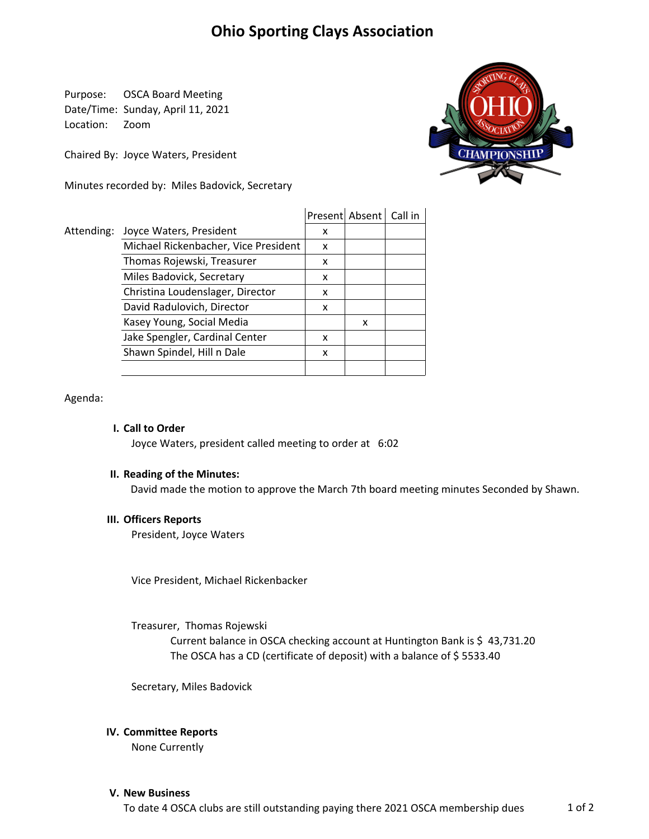# **Ohio Sporting Clays Association**

Purpose: OSCA Board Meeting Date/Time: Sunday, April 11, 2021 Location: Zoom

Chaired By: Joyce Waters, President

Minutes recorded by: Miles Badovick, Secretary



|            |                                      | Present | Absent | Call in |
|------------|--------------------------------------|---------|--------|---------|
| Attending: | Joyce Waters, President              | x       |        |         |
|            | Michael Rickenbacher, Vice President | x       |        |         |
|            | Thomas Rojewski, Treasurer           | x       |        |         |
|            | Miles Badovick, Secretary            | x       |        |         |
|            | Christina Loudenslager, Director     | x       |        |         |
|            | David Radulovich, Director           | x       |        |         |
|            | Kasey Young, Social Media            |         | x      |         |
|            | Jake Spengler, Cardinal Center       | x       |        |         |
|            | Shawn Spindel, Hill n Dale           | x       |        |         |
|            |                                      |         |        |         |

Agenda:

# **I. Call to Order**

Joyce Waters, president called meeting to order at 6:02

# **II. Reading of the Minutes:**

David made the motion to approve the March 7th board meeting minutes Seconded by Shawn.

#### **III. Officers Reports**

President, Joyce Waters

Vice President, Michael Rickenbacker

Treasurer, Thomas Rojewski

Current balance in OSCA checking account at Huntington Bank is \$ 43,731.20 The OSCA has a CD (certificate of deposit) with a balance of \$ 5533.40

Secretary, Miles Badovick

# **IV. Committee Reports**

None Currently

#### **V. New Business**

To date 4 OSCA clubs are still outstanding paying there 2021 OSCA membership dues 1 of 2